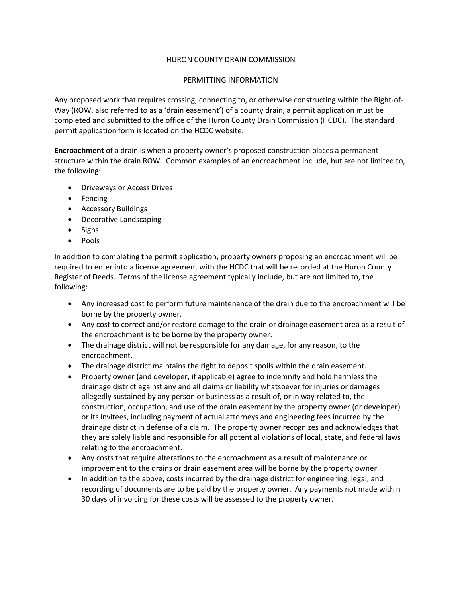## HURON COUNTY DRAIN COMMISSION

## PERMITTING INFORMATION

Any proposed work that requires crossing, connecting to, or otherwise constructing within the Right-of-Way (ROW, also referred to as a 'drain easement') of a county drain, a permit application must be completed and submitted to the office of the Huron County Drain Commission (HCDC). The standard permit application form is located on the HCDC website.

**Encroachment** of a drain is when a property owner's proposed construction places a permanent structure within the drain ROW. Common examples of an encroachment include, but are not limited to, the following:

- Driveways or Access Drives
- Fencing
- Accessory Buildings
- Decorative Landscaping
- Signs
- Pools

In addition to completing the permit application, property owners proposing an encroachment will be required to enter into a license agreement with the HCDC that will be recorded at the Huron County Register of Deeds. Terms of the license agreement typically include, but are not limited to, the following:

- Any increased cost to perform future maintenance of the drain due to the encroachment will be borne by the property owner.
- Any cost to correct and/or restore damage to the drain or drainage easement area as a result of the encroachment is to be borne by the property owner.
- The drainage district will not be responsible for any damage, for any reason, to the encroachment.
- The drainage district maintains the right to deposit spoils within the drain easement.
- Property owner (and developer, if applicable) agree to indemnify and hold harmless the drainage district against any and all claims or liability whatsoever for injuries or damages allegedly sustained by any person or business as a result of, or in way related to, the construction, occupation, and use of the drain easement by the property owner (or developer) or its invitees, including payment of actual attorneys and engineering fees incurred by the drainage district in defense of a claim. The property owner recognizes and acknowledges that they are solely liable and responsible for all potential violations of local, state, and federal laws relating to the encroachment.
- Any costs that require alterations to the encroachment as a result of maintenance or improvement to the drains or drain easement area will be borne by the property owner.
- In addition to the above, costs incurred by the drainage district for engineering, legal, and recording of documents are to be paid by the property owner. Any payments not made within 30 days of invoicing for these costs will be assessed to the property owner.